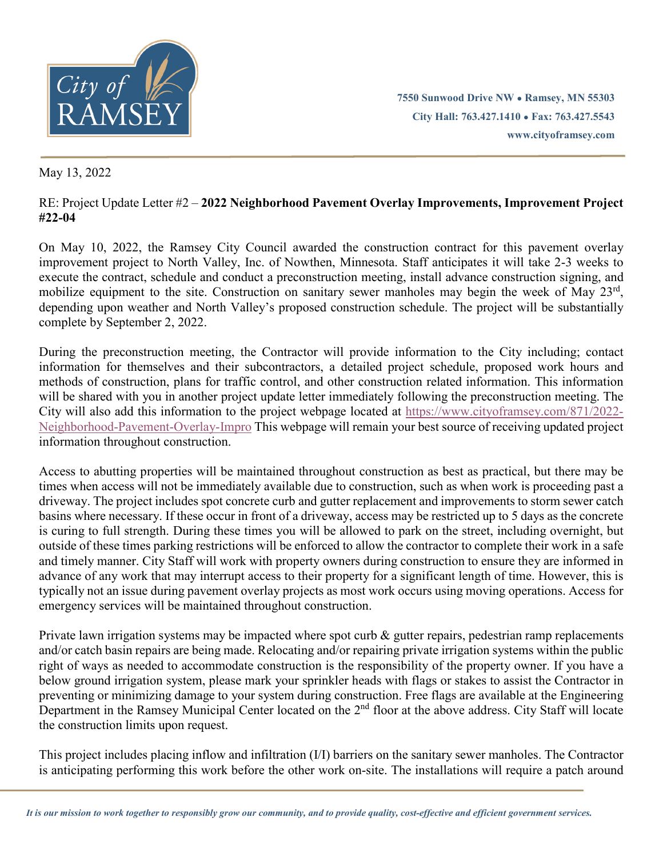

**7550 Sunwood Drive NW ● Ramsey, MN 55303 City Hall: 763.427.1410 ● Fax: 763.427.5543 www.cityoframsey.com**

May 13, 2022

## RE: Project Update Letter #2 – **2022 Neighborhood Pavement Overlay Improvements, Improvement Project #22-04**

On May 10, 2022, the Ramsey City Council awarded the construction contract for this pavement overlay improvement project to North Valley, Inc. of Nowthen, Minnesota. Staff anticipates it will take 2-3 weeks to execute the contract, schedule and conduct a preconstruction meeting, install advance construction signing, and mobilize equipment to the site. Construction on sanitary sewer manholes may begin the week of May 23rd, depending upon weather and North Valley's proposed construction schedule. The project will be substantially complete by September 2, 2022.

During the preconstruction meeting, the Contractor will provide information to the City including; contact information for themselves and their subcontractors, a detailed project schedule, proposed work hours and methods of construction, plans for traffic control, and other construction related information. This information will be shared with you in another project update letter immediately following the preconstruction meeting. The City will also add this information to the project webpage located at [https://www.cityoframsey.com/871/2022-](https://www.cityoframsey.com/871/2022-Neighborhood-Pavement-Overlay-Impro) [Neighborhood-Pavement-Overlay-Impro](https://www.cityoframsey.com/871/2022-Neighborhood-Pavement-Overlay-Impro) This webpage will remain your best source of receiving updated project information throughout construction.

Access to abutting properties will be maintained throughout construction as best as practical, but there may be times when access will not be immediately available due to construction, such as when work is proceeding past a driveway. The project includes spot concrete curb and gutter replacement and improvements to storm sewer catch basins where necessary. If these occur in front of a driveway, access may be restricted up to 5 days as the concrete is curing to full strength. During these times you will be allowed to park on the street, including overnight, but outside of these times parking restrictions will be enforced to allow the contractor to complete their work in a safe and timely manner. City Staff will work with property owners during construction to ensure they are informed in advance of any work that may interrupt access to their property for a significant length of time. However, this is typically not an issue during pavement overlay projects as most work occurs using moving operations. Access for emergency services will be maintained throughout construction.

Private lawn irrigation systems may be impacted where spot curb & gutter repairs, pedestrian ramp replacements and/or catch basin repairs are being made. Relocating and/or repairing private irrigation systems within the public right of ways as needed to accommodate construction is the responsibility of the property owner. If you have a below ground irrigation system, please mark your sprinkler heads with flags or stakes to assist the Contractor in preventing or minimizing damage to your system during construction. Free flags are available at the Engineering Department in the Ramsey Municipal Center located on the  $2<sup>nd</sup>$  floor at the above address. City Staff will locate the construction limits upon request.

This project includes placing inflow and infiltration (I/I) barriers on the sanitary sewer manholes. The Contractor is anticipating performing this work before the other work on-site. The installations will require a patch around